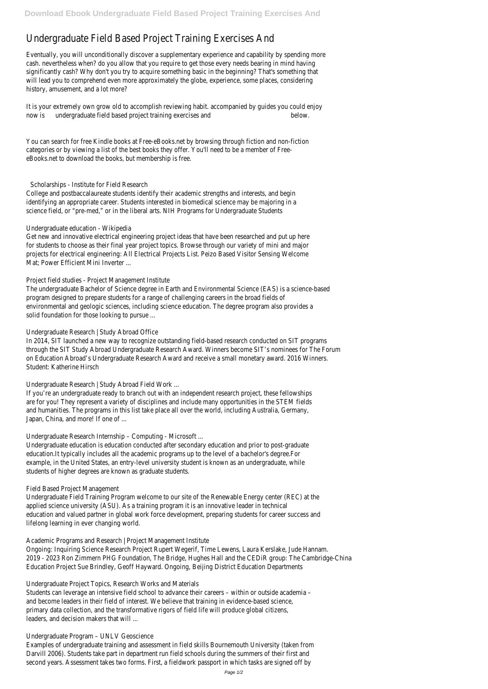# Undergraduate Field Based Project Training Exercises And

It is your extremely own grow old to accomplish reviewing habit. accompanied by guides you could enjoy now is undergraduate field based project training exercises and below.

Eventually, you will unconditionally discover a supplementary experience and capability by spending more cash. nevertheless when? do you allow that you require to get those every needs bearing in mind having significantly cash? Why don't you try to acquire something basic in the beginning? That's something that will lead you to comprehend even more approximately the globe, experience, some places, considering history, amusement, and a lot more?

You can search for free Kindle books at Free-eBooks.net by browsing through fiction and non-fiction categories or by viewing a list of the best books they offer. You'll need to be a member of FreeeBooks.net to download the books, but membership is free.

## Scholarships - Institute for Field Research

College and postbaccalaureate students identify their academic strengths and interests, and begin identifying an appropriate career. Students interested in biomedical science may be majoring in a science field, or "pre-med," or in the liberal arts. NIH Programs for Undergraduate Students

If you're an undergraduate ready to branch out with an independent research project, these fellowships are for you! They represent a variety of disciplines and include many opportunities in the STEM fields and humanities. The programs in this list take place all over the world, including Australia, Germany, Japan, China, and more! If one of ...

#### Undergraduate education - Wikipedia

Get new and innovative electrical engineering project ideas that have been researched and put up here for students to choose as their final year project topics. Browse through our variety of mini and major projects for electrical engineering: All Electrical Projects List. Peizo Based Visitor Sensing Welcome Mat; Power Efficient Mini Inverter ...

# Project field studies - Project Management Institute

The undergraduate Bachelor of Science degree in Earth and Environmental Science (EAS) is a science-based program designed to prepare students for a range of challenging careers in the broad fields of environmental and geologic sciences, including science education. The degree program also provides a solid foundation for those looking to pursue ...

# Undergraduate Research | Study Abroad Office

In 2014, SIT launched a new way to recognize outstanding field-based research conducted on SIT programs through the SIT Study Abroad Undergraduate Research Award. Winners become SIT's nominees for The Forum on Education Abroad's Undergraduate Research Award and receive a small monetary award. 2016 Winners. Student: Katherine Hirsch

Undergraduate Research | Study Abroad Field Work ...

# Undergraduate Research Internship – Computing - Microsoft ...

Undergraduate education is education conducted after secondary education and prior to post-graduate education.It typically includes all the academic programs up to the level of a bachelor's degree.For example, in the United States, an entry-level university student is known as an undergraduate, while students of higher degrees are known as graduate students.

#### Field Based Project Management

Undergraduate Field Training Program welcome to our site of the Renewable Energy center (REC) at the applied science university (ASU). As a training program it is an innovative leader in technical education and valued partner in global work force development, preparing students for career success and

lifelong learning in ever changing world.

Academic Programs and Research | Project Management Institute

Ongoing: Inquiring Science Research Project Rupert Wegerif, Time Lewens, Laura Kerslake, Jude Hannam. 2019 - 2023 Ron Zimmern PHG Foundation, The Bridge, Hughes Hall and the CEDiR group: The Cambridge-China Education Project Sue Brindley, Geoff Hayward. Ongoing, Beijing District Education Departments

Undergraduate Project Topics, Research Works and Materials Students can leverage an intensive field school to advance their careers – within or outside academia – and become leaders in their field of interest. We believe that training in evidence-based science, primary data collection, and the transformative rigors of field life will produce global citizens, leaders, and decision makers that will ...

#### Undergraduate Program – UNLV Geoscience

Examples of undergraduate training and assessment in field skills Bournemouth University (taken from Darvill 2006). Students take part in department run field schools during the summers of their first and second years. Assessment takes two forms. First, a fieldwork passport in which tasks are signed off by